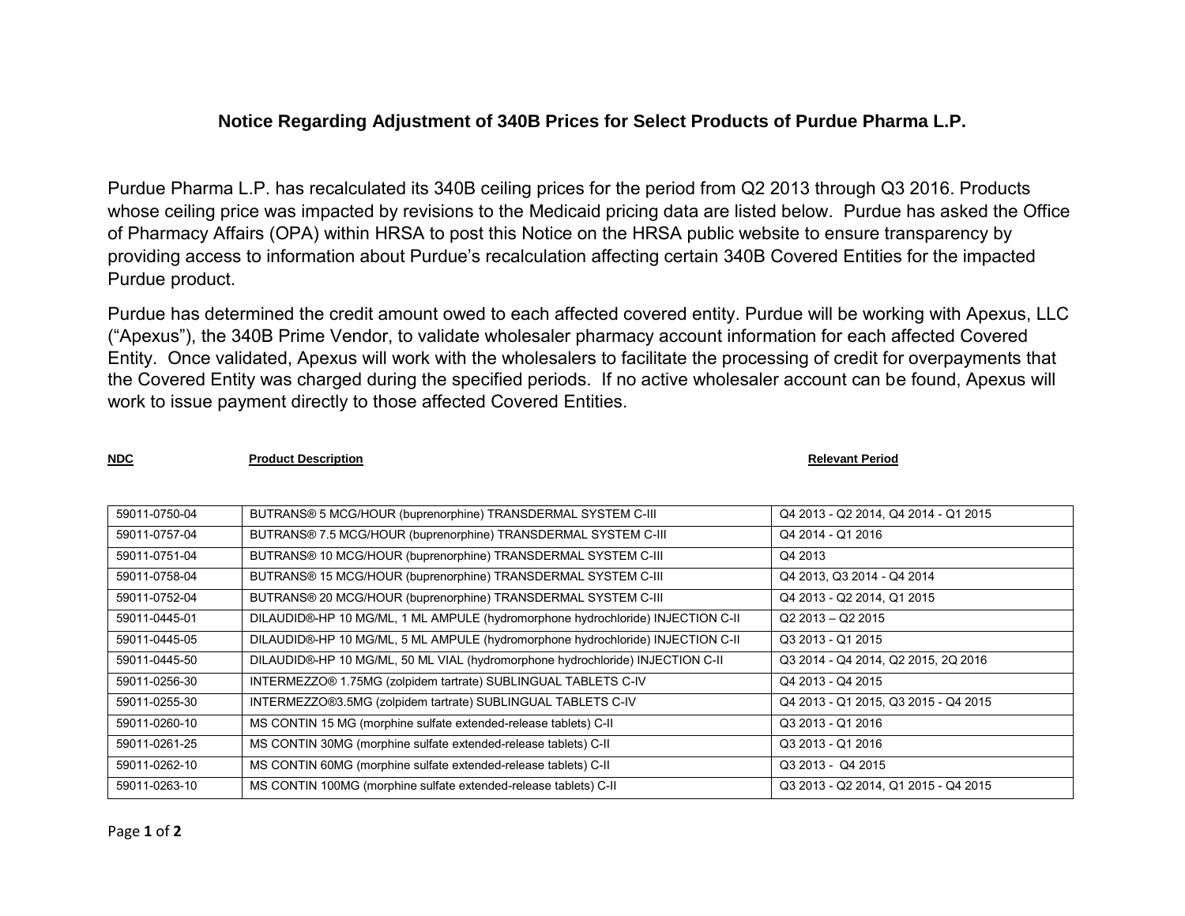## **Notice Regarding Adjustment of 340B Prices for Select Products of Purdue Pharma L.P.**

Purdue Pharma L.P. has recalculated its 340B ceiling prices for the period from Q2 2013 through Q3 2016. Products whose ceiling price was impacted by revisions to the Medicaid pricing data are listed below. Purdue has asked the Office of Pharmacy Affairs (OPA) within HRSA to post this Notice on the HRSA public website to ensure transparency by providing access to information about Purdue's recalculation affecting certain 340B Covered Entities for the impacted Purdue product.

Purdue has determined the credit amount owed to each affected covered entity. Purdue will be working with Apexus, LLC ("Apexus"), the 340B Prime Vendor, to validate wholesaler pharmacy account information for each affected Covered Entity. Once validated, Apexus will work with the wholesalers to facilitate the processing of credit for overpayments that the Covered Entity was charged during the specified periods. If no active wholesaler account can be found, Apexus will work to issue payment directly to those affected Covered Entities.

**NDC Product Description Relevant Period Relevant Period Relevant Period** 

| 59011-0750-04 | BUTRANS® 5 MCG/HOUR (buprenorphine) TRANSDERMAL SYSTEM C-III                    | Q4 2013 - Q2 2014, Q4 2014 - Q1 2015 |
|---------------|---------------------------------------------------------------------------------|--------------------------------------|
| 59011-0757-04 | BUTRANS® 7.5 MCG/HOUR (buprenorphine) TRANSDERMAL SYSTEM C-III                  | Q4 2014 - Q1 2016                    |
| 59011-0751-04 | BUTRANS® 10 MCG/HOUR (buprenorphine) TRANSDERMAL SYSTEM C-III                   | Q4 2013                              |
| 59011-0758-04 | BUTRANS® 15 MCG/HOUR (buprenorphine) TRANSDERMAL SYSTEM C-III                   | Q4 2013, Q3 2014 - Q4 2014           |
| 59011-0752-04 | BUTRANS® 20 MCG/HOUR (buprenorphine) TRANSDERMAL SYSTEM C-III                   | Q4 2013 - Q2 2014, Q1 2015           |
| 59011-0445-01 | DILAUDID®-HP 10 MG/ML, 1 ML AMPULE (hydromorphone hydrochloride) INJECTION C-II | $Q2$ 2013 - Q2 2015                  |
| 59011-0445-05 | DILAUDID®-HP 10 MG/ML, 5 ML AMPULE (hydromorphone hydrochloride) INJECTION C-II | Q3 2013 - Q1 2015                    |
| 59011-0445-50 | DILAUDID®-HP 10 MG/ML, 50 ML VIAL (hydromorphone hydrochloride) INJECTION C-II  | Q3 2014 - Q4 2014, Q2 2015, 2Q 2016  |
| 59011-0256-30 | INTERMEZZO® 1.75MG (zolpidem tartrate) SUBLINGUAL TABLETS C-IV                  | Q4 2013 - Q4 2015                    |
| 59011-0255-30 | INTERMEZZO®3.5MG (zolpidem tartrate) SUBLINGUAL TABLETS C-IV                    | Q4 2013 - Q1 2015, Q3 2015 - Q4 2015 |
| 59011-0260-10 | MS CONTIN 15 MG (morphine sulfate extended-release tablets) C-II                | Q3 2013 - Q1 2016                    |
| 59011-0261-25 | MS CONTIN 30MG (morphine sulfate extended-release tablets) C-II                 | Q3 2013 - Q1 2016                    |
| 59011-0262-10 | MS CONTIN 60MG (morphine sulfate extended-release tablets) C-II                 | Q3 2013 - Q4 2015                    |
| 59011-0263-10 | MS CONTIN 100MG (morphine sulfate extended-release tablets) C-II                | Q3 2013 - Q2 2014, Q1 2015 - Q4 2015 |